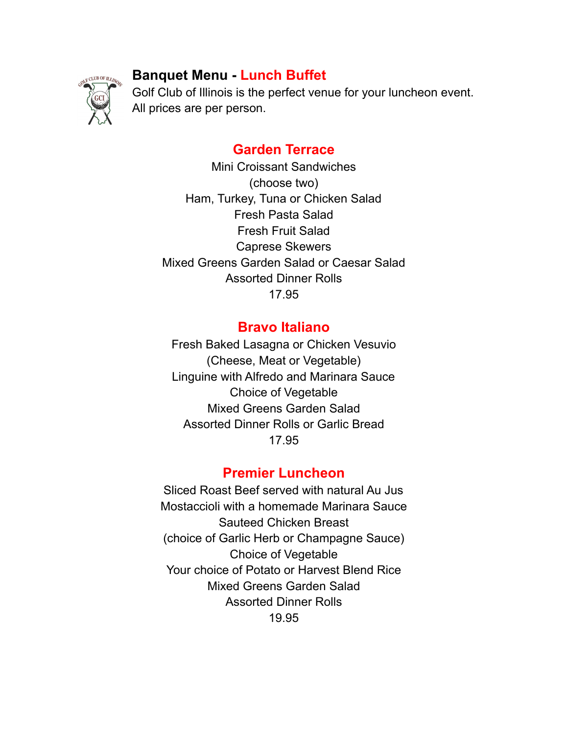# **Banquet Menu - Lunch Buffet**



Golf Club of Illinois is the perfect venue for your luncheon event. All prices are per person.

# **Garden Terrace**

Mini Croissant Sandwiches (choose two) Ham, Turkey, Tuna or Chicken Salad Fresh Pasta Salad Fresh Fruit Salad Caprese Skewers Mixed Greens Garden Salad or Caesar Salad Assorted Dinner Rolls 17.95

### **Bravo Italiano**

Fresh Baked Lasagna or Chicken Vesuvio (Cheese, Meat or Vegetable) Linguine with Alfredo and Marinara Sauce Choice of Vegetable Mixed Greens Garden Salad Assorted Dinner Rolls or Garlic Bread 17.95

## **Premier Luncheon**

Sliced Roast Beef served with natural Au Jus Mostaccioli with a homemade Marinara Sauce Sauteed Chicken Breast (choice of Garlic Herb or Champagne Sauce) Choice of Vegetable Your choice of Potato or Harvest Blend Rice Mixed Greens Garden Salad Assorted Dinner Rolls 19.95